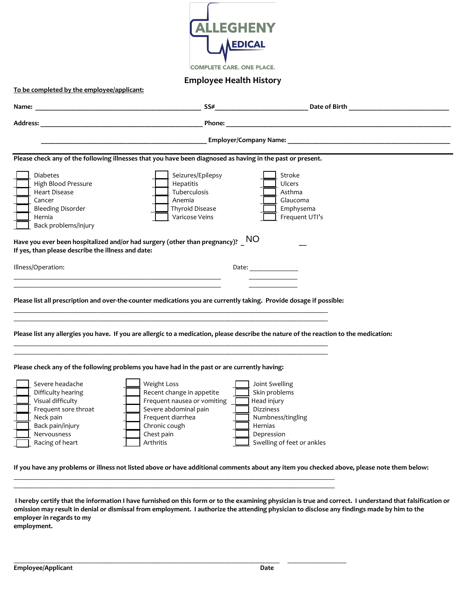

**Employee Health History**

|                                                                                                                                 |                                                                                                                                                                                                   | SS# Date of Birth                                                                                                                      |
|---------------------------------------------------------------------------------------------------------------------------------|---------------------------------------------------------------------------------------------------------------------------------------------------------------------------------------------------|----------------------------------------------------------------------------------------------------------------------------------------|
| <b>Address:</b>                                                                                                                 | Phone:<br><u> 1989 - Johann Stein, mars an deutscher Stein und der Stein und der Stein und der Stein und der Stein und der</u>                                                                    |                                                                                                                                        |
|                                                                                                                                 |                                                                                                                                                                                                   | Employer/Company Name: Name and South American control of the Company Name and South American control of the C                         |
|                                                                                                                                 | Please check any of the following illnesses that you have been diagnosed as having in the past or present.                                                                                        |                                                                                                                                        |
| <b>Diabetes</b><br>High Blood Pressure<br>Heart Disease<br>Cancer<br><b>Bleeding Disorder</b><br>Hernia<br>Back problems/injury | Seizures/Epilepsy<br>Hepatitis<br>Tuberculosis<br>Anemia<br><b>Thyroid Disease</b><br>Varicose Veins<br>Have you ever been hospitalized and/or had surgery (other than pregnancy)? $\_$ $\sf{NO}$ | Stroke<br>Ulcers<br>Asthma<br>Glaucoma<br>Emphysema<br>Frequent UTI's                                                                  |
| If yes, than please describe the illness and date:                                                                              |                                                                                                                                                                                                   |                                                                                                                                        |
| Illness/Operation:                                                                                                              | <u> 1989 - Johann Barn, amerikan berkemaan di sebagai berkemaan di sebagai berkemaan di sebagai berkemaan di seba</u>                                                                             | Date: $\qquad \qquad$                                                                                                                  |
|                                                                                                                                 | Please list all prescription and over-the-counter medications you are currently taking. Provide dosage if possible:                                                                               |                                                                                                                                        |
|                                                                                                                                 |                                                                                                                                                                                                   | Please list any allergies you have. If you are allergic to a medication, please describe the nature of the reaction to the medication: |
|                                                                                                                                 | Please check any of the following problems you have had in the past or are currently having:                                                                                                      |                                                                                                                                        |

**I hereby certify that the information I have furnished on this form or to the examining physician is true and correct. I understand that falsification or omission may result in denial or dismissal from employment. I authorize the attending physician to disclose any findings made by him to the employer in regards to my** 

 $\_$  ,  $\_$  ,  $\_$  ,  $\_$  ,  $\_$  ,  $\_$  ,  $\_$  ,  $\_$  ,  $\_$  ,  $\_$  ,  $\_$  ,  $\_$  ,  $\_$  ,  $\_$  ,  $\_$  ,  $\_$  ,  $\_$  ,  $\_$  ,  $\_$  ,  $\_$  ,  $\_$  ,  $\_$  ,  $\_$  ,  $\_$  ,  $\_$  ,  $\_$  ,  $\_$  ,  $\_$  ,  $\_$  ,  $\_$  ,  $\_$  ,  $\_$  ,  $\_$  ,  $\_$  ,  $\_$  ,  $\_$  ,  $\_$  ,

**employment.**